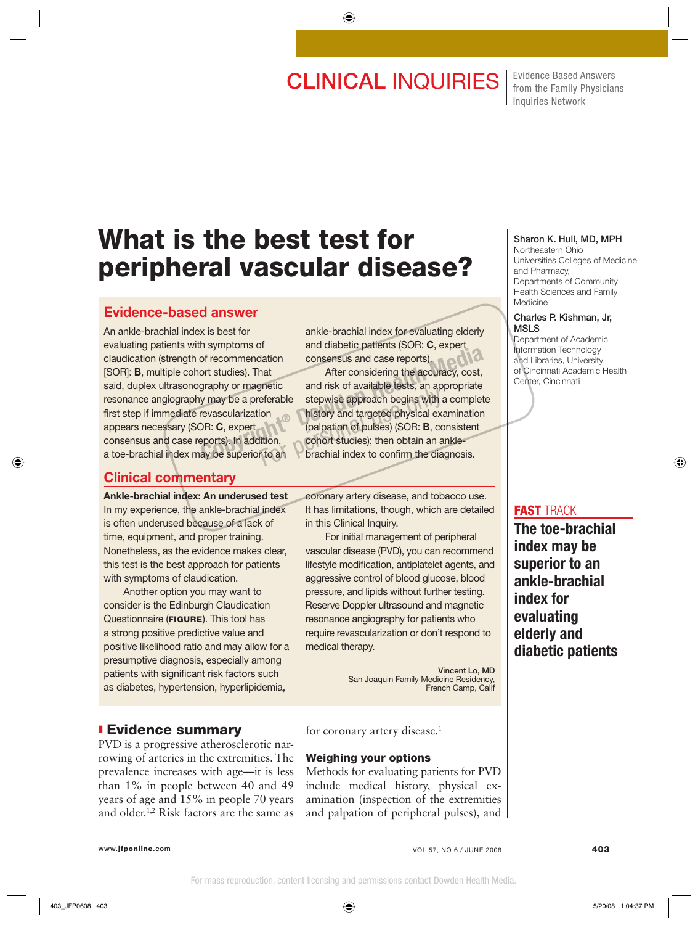# **CLINICAL INQUIRIES** Fridence Based Answers

from the Family Physicians Inquiries Network

# **What is the best test for peripheral vascular disease?**

# **Evidence-based answer**

An ankle-brachial index is best for evaluating patients with symptoms of claudication (strength of recommendation [SOR]: **B**, multiple cohort studies). That said, duplex ultrasonography or magnetic resonance angiography may be a preferable first step if immediate revascularization appears necessary (SOR: **C**, expert consensus and case reports). In addition, a toe-brachial index may be superior to an

## **Clinical commentary**

**Ankle-brachial index: An underused test**  In my experience, the ankle-brachial index is often underused because of a lack of time, equipment, and proper training. Nonetheless, as the evidence makes clear, this test is the best approach for patients with symptoms of claudication.

 Another option you may want to consider is the Edinburgh Claudication Questionnaire (**FIGURE**). This tool has a strong positive predictive value and positive likelihood ratio and may allow for a presumptive diagnosis, especially among patients with significant risk factors such as diabetes, hypertension, hyperlipidemia,

# ❚ **Evidence summary**

PVD is a progressive atherosclerotic narrowing of arteries in the extremities. The prevalence increases with age—it is less than 1% in people between 40 and 49 years of age and 15% in people 70 years and older.1,2 Risk factors are the same as ankle-brachial index for evaluating elderly and diabetic patients (SOR: **C**, expert consensus and case reports).

 After considering the accuracy, cost, and risk of available tests, an appropriate stepwise approach begins with a complete history and targeted physical examination (palpation of pulses) (SOR: **B**, consistent cohort studies); then obtain an anklebrachial index to confirm the diagnosis. For the Commendation<br>
of recommendation<br>
or studies). That<br>
Of the consensus and case reports).<br>
Or studies). That<br>
Of the accuracy, cost,<br>
and risk of available tests, an appropriate<br>
y may be a preferable<br>
stepwise appro For able stepwise approach begins with a<br>ion bistory and targeted physical examples in the step of pulses) (SOR: **B**, co<br>iftion, cohort studies); then obtain an a<br>to an brachial index to confirm the dia

> coronary artery disease, and tobacco use. It has limitations, though, which are detailed in this Clinical Inquiry.

> For initial management of peripheral vascular disease (PVD), you can recommend lifestyle modification, antiplatelet agents, and aggressive control of blood glucose, blood pressure, and lipids without further testing. Reserve Doppler ultrasound and magnetic resonance angiography for patients who require revascularization or don't respond to medical therapy.

> > **Vincent Lo, MD** San Joaquin Family Medicine Residency, French Camp, Calif

for coronary artery disease.<sup>1</sup>

#### **Weighing your options**

Methods for evaluating patients for PVD include medical history, physical examination (inspection of the extremities and palpation of peripheral pulses), and

### **Sharon K. Hull, MD, MPH**

Northeastern Ohio Universities Colleges of Medicine and Pharmacy, Departments of Community Health Sciences and Family Medicine

#### **Charles P. Kishman, Jr, MSLS**

Department of Academic Information Technology and Libraries, University of Cincinnati Academic Health Center, Cincinnati

### **FAST** TRACK

**The toe-brachial index may be superior to an ankle-brachial index for evaluating elderly and diabetic patients**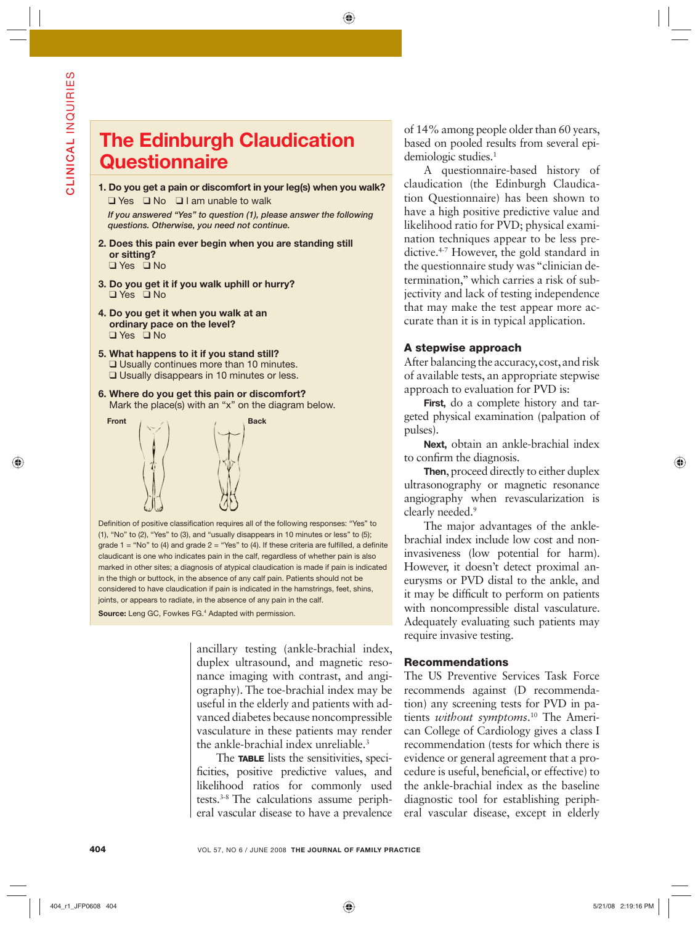# **The Edinburgh Claudication Questionnaire**

**1. Do you get a pain or discomfort in your leg(s) when you walk?** ❑ Yes ❑ No ❑ I am unable to walk

 *If you answered "Yes" to question (1), please answer the following questions. Otherwise, you need not continue.*

- **2. Does this pain ever begin when you are standing still or sitting?** ❑ Yes ❑ No
- **3. Do you get it if you walk uphill or hurry?**
- ❑ Yes ❑ No
- **4. Do you get it when you walk at an ordinary pace on the level?** ❑ Yes ❑ No
- **5. What happens to it if you stand still?** ❑ Usually continues more than 10 minutes. ❑ Usually disappears in 10 minutes or less.
- **6. Where do you get this pain or discomfort?** Mark the place(s) with an "x" on the diagram below.



Definition of positive classification requires all of the following responses: "Yes" to (1), "No" to (2), "Yes" to (3), and "usually disappears in 10 minutes or less" to (5); grade  $1 = "No"$  to (4) and grade  $2 = "Yes"$  to (4). If these criteria are fulfilled, a definite claudicant is one who indicates pain in the calf, regardless of whether pain is also marked in other sites; a diagnosis of atypical claudication is made if pain is indicated in the thigh or buttock, in the absence of any calf pain. Patients should not be considered to have claudication if pain is indicated in the hamstrings, feet, shins, joints, or appears to radiate, in the absence of any pain in the calf. Source: Leng GC, Fowkes FG.<sup>4</sup> Adapted with permission.

> ancillary testing (ankle-brachial index, duplex ultrasound, and magnetic resonance imaging with contrast, and angiography). The toe-brachial index may be useful in the elderly and patients with advanced diabetes because noncompressible vasculature in these patients may render the ankle-brachial index unreliable.<sup>3</sup>

> The **TABLE** lists the sensitivities, specificities, positive predictive values, and likelihood ratios for commonly used tests.3-8 The calculations assume peripheral vascular disease to have a prevalence

of 14% among people older than 60 years, based on pooled results from several epidemiologic studies.<sup>1</sup>

A questionnaire-based history of claudication (the Edinburgh Claudication Questionnaire) has been shown to have a high positive predictive value and likelihood ratio for PVD; physical examination techniques appear to be less predictive.4-7 However, the gold standard in the questionnaire study was "clinician determination," which carries a risk of subjectivity and lack of testing independence that may make the test appear more accurate than it is in typical application.

## **A stepwise approach**

After balancing the accuracy, cost, and risk of available tests, an appropriate stepwise approach to evaluation for PVD is:

**First,** do a complete history and targeted physical examination (palpation of pulses).

**Next,** obtain an ankle-brachial index to confirm the diagnosis.

**Then**, proceed directly to either duplex ultrasonography or magnetic resonance angiography when revascularization is clearly needed.<sup>9</sup>

The major advantages of the anklebrachial index include low cost and noninvasiveness (low potential for harm). However, it doesn't detect proximal aneurysms or PVD distal to the ankle, and it may be difficult to perform on patients with noncompressible distal vasculature. Adequately evaluating such patients may require invasive testing.

#### **Recommendations**

The US Preventive Services Task Force recommends against (D recommendation) any screening tests for PVD in patients *without symptoms*. 10 The American College of Cardiology gives a class I recommendation (tests for which there is evidence or general agreement that a procedure is useful, beneficial, or effective) to the ankle-brachial index as the baseline diagnostic tool for establishing peripheral vascular disease, except in elderly